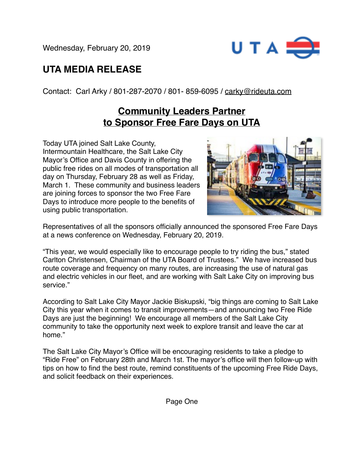Wednesday, February 20, 2019



## **UTA MEDIA RELEASE**

Contact: Carl Arky / 801-287-2070 / 801- 859-6095 / [carky@rideuta.com](mailto:carky@rideuta.com)

## **Community Leaders Partner to Sponsor Free Fare Days on UTA**

Today UTA joined Salt Lake County, Intermountain Healthcare, the Salt Lake City Mayor's Office and Davis County in offering the public free rides on all modes of transportation all day on Thursday, February 28 as well as Friday, March 1. These community and business leaders are joining forces to sponsor the two Free Fare Days to introduce more people to the benefits of using public transportation.



Representatives of all the sponsors officially announced the sponsored Free Fare Days at a news conference on Wednesday, February 20, 2019.

"This year, we would especially like to encourage people to try riding the bus," stated Carlton Christensen, Chairman of the UTA Board of Trustees." We have increased bus route coverage and frequency on many routes, are increasing the use of natural gas and electric vehicles in our fleet, and are working with Salt Lake City on improving bus service."

According to Salt Lake City Mayor Jackie Biskupski, "big things are coming to Salt Lake City this year when it comes to transit improvements—and announcing two Free Ride Days are just the beginning! We encourage all members of the Salt Lake City community to take the opportunity next week to explore transit and leave the car at home."

The Salt Lake City Mayor's Office will be encouraging residents to take a pledge to "Ride Free" on February 28th and March 1st. The mayor's office will then follow-up with tips on how to find the best route, remind constituents of the upcoming Free Ride Days, and solicit feedback on their experiences.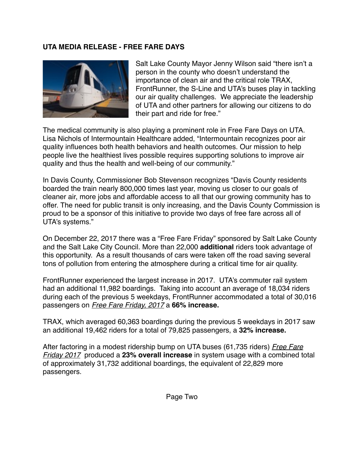## **UTA MEDIA RELEASE - FREE FARE DAYS**



Salt Lake County Mayor Jenny Wilson said "there isn't a person in the county who doesn't understand the importance of clean air and the critical role TRAX, FrontRunner, the S-Line and UTA's buses play in tackling our air quality challenges. We appreciate the leadership of UTA and other partners for allowing our citizens to do their part and ride for free."

The medical community is also playing a prominent role in Free Fare Days on UTA. Lisa Nichols of Intermountain Healthcare added, "Intermountain recognizes poor air quality influences both health behaviors and health outcomes. Our mission to help people live the healthiest lives possible requires supporting solutions to improve air quality and thus the health and well-being of our community."

In Davis County, Commissioner Bob Stevenson recognizes "Davis County residents boarded the train nearly 800,000 times last year, moving us closer to our goals of cleaner air, more jobs and affordable access to all that our growing community has to offer. The need for public transit is only increasing, and the Davis County Commission is proud to be a sponsor of this initiative to provide two days of free fare across all of UTA's systems."

On December 22, 2017 there was a "Free Fare Friday" sponsored by Salt Lake County and the Salt Lake City Council. More than 22,000 **additional** riders took advantage of this opportunity. As a result thousands of cars were taken off the road saving several tons of pollution from entering the atmosphere during a critical time for air quality.

FrontRunner experienced the largest increase in 2017. UTA's commuter rail system had an additional 11,982 boardings. Taking into account an average of 18,034 riders during each of the previous 5 weekdays, FrontRunner accommodated a total of 30,016 passengers on *Free Fare Friday, 2017* a **66% increase.**

TRAX, which averaged 60,363 boardings during the previous 5 weekdays in 2017 saw an additional 19,462 riders for a total of 79,825 passengers, a **32% increase.**

After factoring in a modest ridership bump on UTA buses (61,735 riders) *Free Fare Friday 2017* produced a **23% overall increase** in system usage with a combined total of approximately 31,732 additional boardings, the equivalent of 22,829 more passengers.

Page Two